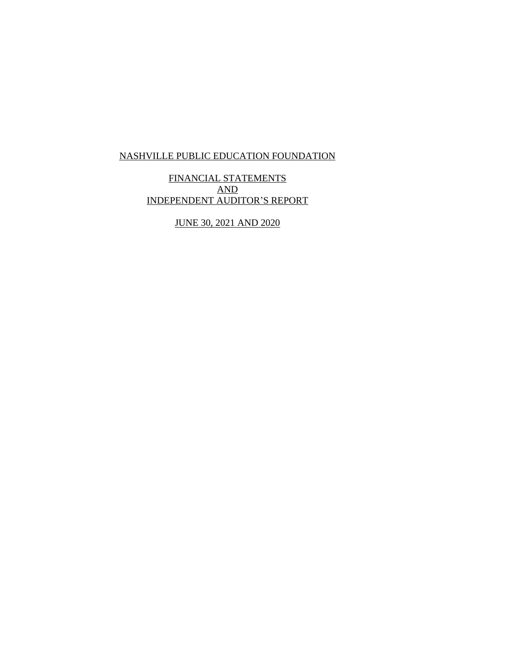FINANCIAL STATEMENTS AND INDEPENDENT AUDITOR'S REPORT

JUNE 30, 2021 AND 2020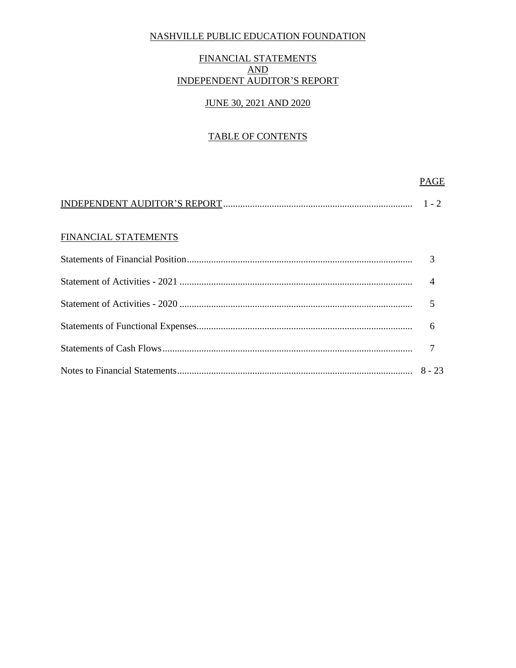## FINANCIAL STATEMENTS AND INDEPENDENT AUDITOR'S REPORT

## JUNE 30, 2021 AND 2020

## TABLE OF CONTENTS

|                      | PAGE           |
|----------------------|----------------|
|                      |                |
| FINANCIAL STATEMENTS |                |
|                      | 3              |
|                      | $\overline{4}$ |
|                      |                |
|                      | 6              |
|                      |                |
|                      | $8 - 23$       |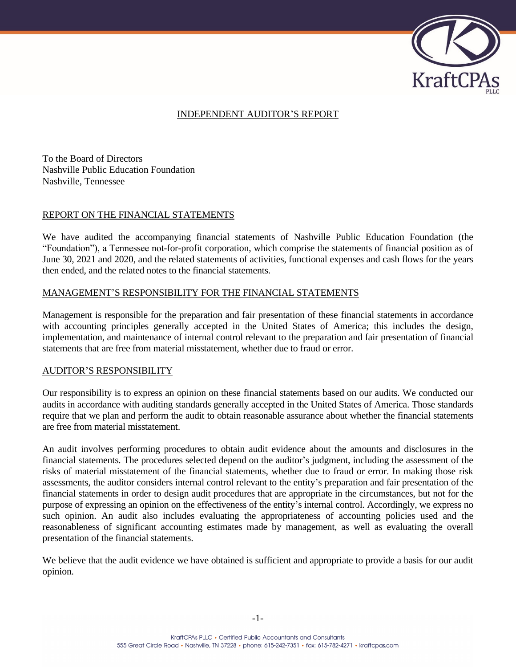

### INDEPENDENT AUDITOR'S REPORT

To the Board of Directors Nashville Public Education Foundation Nashville, Tennessee

#### REPORT ON THE FINANCIAL STATEMENTS

We have audited the accompanying financial statements of Nashville Public Education Foundation (the "Foundation"), a Tennessee not-for-profit corporation, which comprise the statements of financial position as of June 30, 2021 and 2020, and the related statements of activities, functional expenses and cash flows for the years then ended, and the related notes to the financial statements.

#### MANAGEMENT'S RESPONSIBILITY FOR THE FINANCIAL STATEMENTS

Management is responsible for the preparation and fair presentation of these financial statements in accordance with accounting principles generally accepted in the United States of America; this includes the design, implementation, and maintenance of internal control relevant to the preparation and fair presentation of financial statements that are free from material misstatement, whether due to fraud or error.

### AUDITOR'S RESPONSIBILITY

Our responsibility is to express an opinion on these financial statements based on our audits. We conducted our audits in accordance with auditing standards generally accepted in the United States of America. Those standards require that we plan and perform the audit to obtain reasonable assurance about whether the financial statements are free from material misstatement.

An audit involves performing procedures to obtain audit evidence about the amounts and disclosures in the financial statements. The procedures selected depend on the auditor's judgment, including the assessment of the risks of material misstatement of the financial statements, whether due to fraud or error. In making those risk assessments, the auditor considers internal control relevant to the entity's preparation and fair presentation of the financial statements in order to design audit procedures that are appropriate in the circumstances, but not for the purpose of expressing an opinion on the effectiveness of the entity's internal control. Accordingly, we express no such opinion. An audit also includes evaluating the appropriateness of accounting policies used and the reasonableness of significant accounting estimates made by management, as well as evaluating the overall presentation of the financial statements.

We believe that the audit evidence we have obtained is sufficient and appropriate to provide a basis for our audit opinion.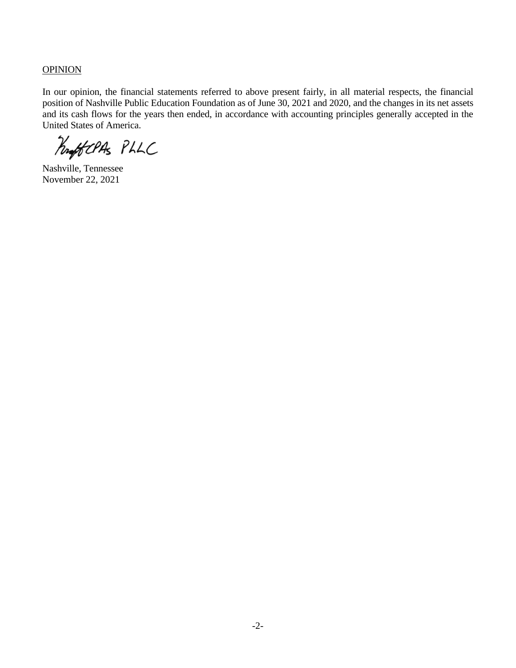**OPINION** 

In our opinion, the financial statements referred to above present fairly, in all material respects, the financial position of Nashville Public Education Foundation as of June 30, 2021 and 2020, and the changes in its net assets and its cash flows for the years then ended, in accordance with accounting principles generally accepted in the United States of America.

ProfitCPAS PLLC

Nashville, Tennessee November 22, 2021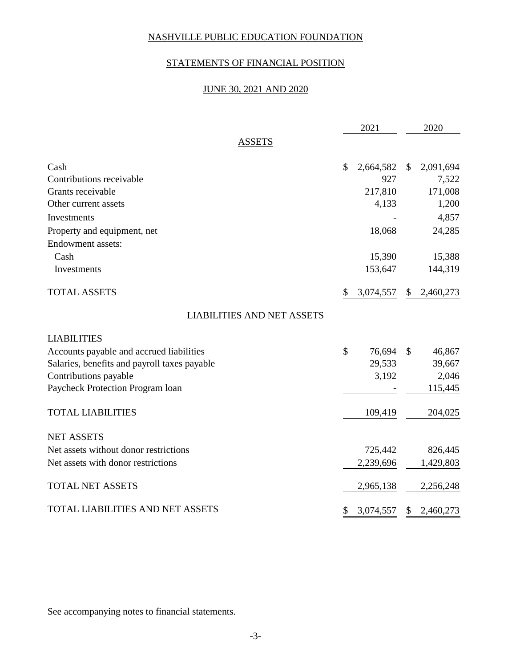## STATEMENTS OF FINANCIAL POSITION

## JUNE 30, 2021 AND 2020

|                                              | 2021            |              | 2020      |
|----------------------------------------------|-----------------|--------------|-----------|
| <b>ASSETS</b>                                |                 |              |           |
| Cash                                         | \$<br>2,664,582 | $\mathbb{S}$ | 2,091,694 |
| Contributions receivable                     | 927             |              | 7,522     |
| Grants receivable                            | 217,810         |              | 171,008   |
| Other current assets                         | 4,133           |              | 1,200     |
| Investments                                  |                 |              | 4,857     |
| Property and equipment, net                  | 18,068          |              | 24,285    |
| Endowment assets:                            |                 |              |           |
| Cash                                         | 15,390          |              | 15,388    |
| Investments                                  | 153,647         |              | 144,319   |
| <b>TOTAL ASSETS</b>                          | \$<br>3,074,557 | \$           | 2,460,273 |
| <b>LIABILITIES AND NET ASSETS</b>            |                 |              |           |
| <b>LIABILITIES</b>                           |                 |              |           |
| Accounts payable and accrued liabilities     | \$<br>76,694    | \$           | 46,867    |
| Salaries, benefits and payroll taxes payable | 29,533          |              | 39,667    |
| Contributions payable                        | 3,192           |              | 2,046     |
| Paycheck Protection Program loan             |                 |              | 115,445   |
| <b>TOTAL LIABILITIES</b>                     | 109,419         |              | 204,025   |
| <b>NET ASSETS</b>                            |                 |              |           |
| Net assets without donor restrictions        | 725,442         |              | 826,445   |
| Net assets with donor restrictions           | 2,239,696       |              | 1,429,803 |
| <b>TOTAL NET ASSETS</b>                      | 2,965,138       |              | 2,256,248 |
| TOTAL LIABILITIES AND NET ASSETS             | \$<br>3,074,557 | \$           | 2,460,273 |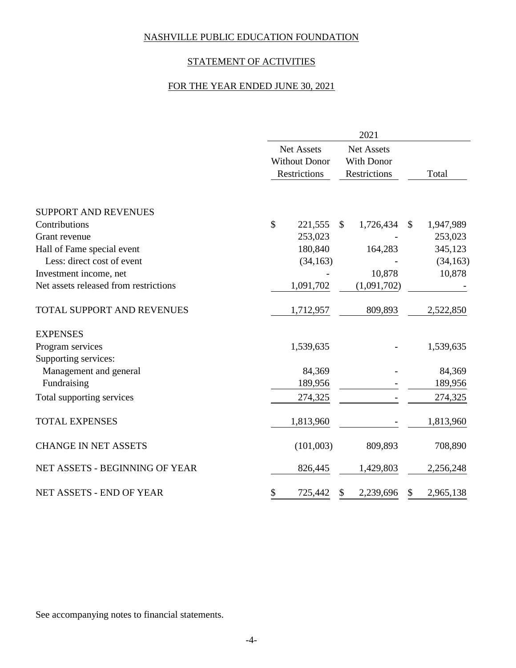# STATEMENT OF ACTIVITIES

# FOR THE YEAR ENDED JUNE 30, 2021

|                                       | 2021          |                      |               |                   |               |           |  |  |  |
|---------------------------------------|---------------|----------------------|---------------|-------------------|---------------|-----------|--|--|--|
|                                       |               | <b>Net Assets</b>    |               | <b>Net Assets</b> |               |           |  |  |  |
|                                       |               | <b>Without Donor</b> |               | With Donor        |               |           |  |  |  |
|                                       |               | Restrictions         |               | Restrictions      |               | Total     |  |  |  |
| <b>SUPPORT AND REVENUES</b>           |               |                      |               |                   |               |           |  |  |  |
| Contributions                         | $\mathcal{S}$ | 221,555              | <sup>\$</sup> | 1,726,434         | <sup>\$</sup> | 1,947,989 |  |  |  |
| Grant revenue                         |               | 253,023              |               |                   |               | 253,023   |  |  |  |
| Hall of Fame special event            |               | 180,840              |               | 164,283           |               | 345,123   |  |  |  |
| Less: direct cost of event            |               | (34, 163)            |               |                   |               | (34, 163) |  |  |  |
| Investment income, net                |               |                      |               | 10,878            |               | 10,878    |  |  |  |
| Net assets released from restrictions |               | 1,091,702            |               | (1,091,702)       |               |           |  |  |  |
| TOTAL SUPPORT AND REVENUES            |               | 1,712,957            |               | 809,893           |               | 2,522,850 |  |  |  |
| <b>EXPENSES</b>                       |               |                      |               |                   |               |           |  |  |  |
| Program services                      |               | 1,539,635            |               |                   |               | 1,539,635 |  |  |  |
| Supporting services:                  |               |                      |               |                   |               |           |  |  |  |
| Management and general                |               | 84,369               |               |                   |               | 84,369    |  |  |  |
| Fundraising                           |               | 189,956              |               |                   |               | 189,956   |  |  |  |
| Total supporting services             |               | 274,325              |               |                   |               | 274,325   |  |  |  |
| <b>TOTAL EXPENSES</b>                 |               | 1,813,960            |               |                   |               | 1,813,960 |  |  |  |
| <b>CHANGE IN NET ASSETS</b>           |               | (101,003)            |               | 809,893           |               | 708,890   |  |  |  |
| NET ASSETS - BEGINNING OF YEAR        |               | 826,445              |               | 1,429,803         |               | 2,256,248 |  |  |  |
| NET ASSETS - END OF YEAR              | \$            | 725,442              | \$            | 2,239,696         | \$            | 2,965,138 |  |  |  |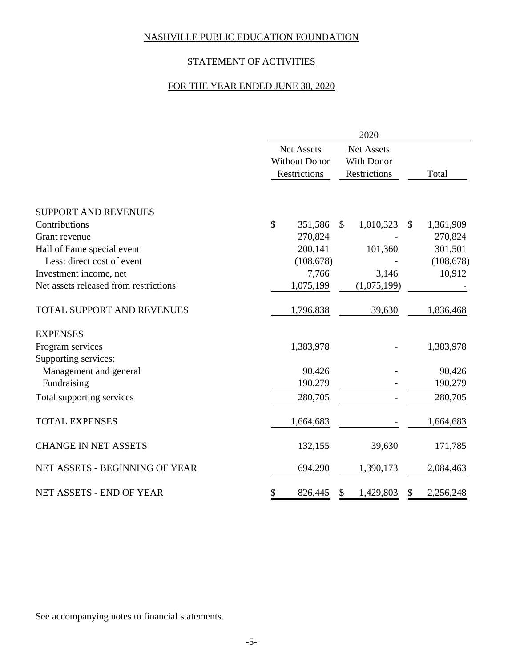# STATEMENT OF ACTIVITIES

## FOR THE YEAR ENDED JUNE 30, 2020

|                                       | 2020                                                      |            |              |                                                 |    |            |  |  |  |
|---------------------------------------|-----------------------------------------------------------|------------|--------------|-------------------------------------------------|----|------------|--|--|--|
|                                       | <b>Net Assets</b><br><b>Without Donor</b><br>Restrictions |            |              | <b>Net Assets</b><br>With Donor<br>Restrictions |    | Total      |  |  |  |
|                                       |                                                           |            |              |                                                 |    |            |  |  |  |
| <b>SUPPORT AND REVENUES</b>           |                                                           |            |              |                                                 |    |            |  |  |  |
| Contributions                         | $\mathcal{S}$                                             | 351,586    | $\mathbb{S}$ | 1,010,323                                       | \$ | 1,361,909  |  |  |  |
| Grant revenue                         |                                                           | 270,824    |              |                                                 |    | 270,824    |  |  |  |
| Hall of Fame special event            |                                                           | 200,141    |              | 101,360                                         |    | 301,501    |  |  |  |
| Less: direct cost of event            |                                                           | (108, 678) |              |                                                 |    | (108, 678) |  |  |  |
| Investment income, net                |                                                           | 7,766      |              | 3,146                                           |    | 10,912     |  |  |  |
| Net assets released from restrictions |                                                           | 1,075,199  |              | (1,075,199)                                     |    |            |  |  |  |
| TOTAL SUPPORT AND REVENUES            |                                                           | 1,796,838  |              | 39,630                                          |    | 1,836,468  |  |  |  |
| <b>EXPENSES</b>                       |                                                           |            |              |                                                 |    |            |  |  |  |
| Program services                      |                                                           | 1,383,978  |              |                                                 |    | 1,383,978  |  |  |  |
| Supporting services:                  |                                                           |            |              |                                                 |    |            |  |  |  |
| Management and general                |                                                           | 90,426     |              |                                                 |    | 90,426     |  |  |  |
| Fundraising                           |                                                           | 190,279    |              |                                                 |    | 190,279    |  |  |  |
| Total supporting services             |                                                           | 280,705    |              |                                                 |    | 280,705    |  |  |  |
| <b>TOTAL EXPENSES</b>                 |                                                           | 1,664,683  |              |                                                 |    | 1,664,683  |  |  |  |
| <b>CHANGE IN NET ASSETS</b>           |                                                           | 132,155    |              | 39,630                                          |    | 171,785    |  |  |  |
| NET ASSETS - BEGINNING OF YEAR        |                                                           | 694,290    |              | 1,390,173                                       |    | 2,084,463  |  |  |  |
| NET ASSETS - END OF YEAR              | \$                                                        | 826,445    | \$           | 1,429,803                                       | \$ | 2,256,248  |  |  |  |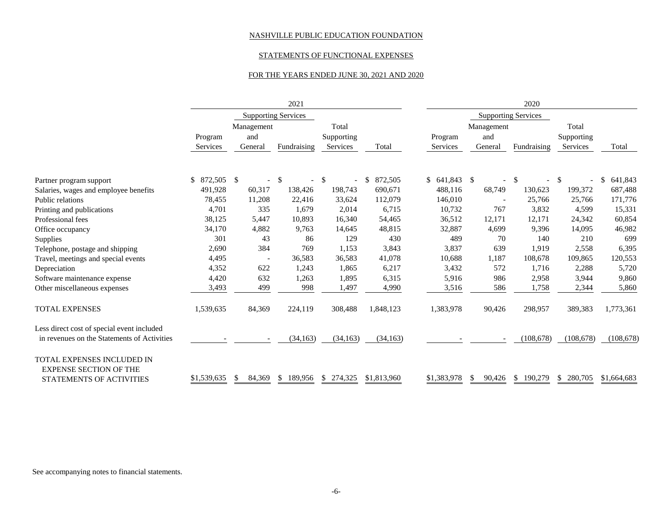### STATEMENTS OF FUNCTIONAL EXPENSES

#### FOR THE YEARS ENDED JUNE 30, 2021 AND 2020

|                                                                    |               |              | 2021                       |               |               | 2020            |                        |                            |              |             |
|--------------------------------------------------------------------|---------------|--------------|----------------------------|---------------|---------------|-----------------|------------------------|----------------------------|--------------|-------------|
|                                                                    |               |              | <b>Supporting Services</b> |               |               |                 |                        | <b>Supporting Services</b> |              |             |
|                                                                    |               | Management   |                            | Total         |               |                 | Management             |                            | Total        |             |
|                                                                    | Program       | and          |                            | Supporting    |               | Program         | and                    |                            | Supporting   |             |
|                                                                    | Services      | General      | Fundraising                | Services      | Total         | Services        | General                | Fundraising                | Services     | Total       |
|                                                                    |               | $\mathbb{S}$ |                            |               |               |                 |                        |                            | $\mathbb{S}$ |             |
| Partner program support                                            | 872,505<br>\$ |              | \$                         | <sup>\$</sup> | 872,505<br>\$ | $$641,843$ \ \$ |                        | <sup>\$</sup>              |              | 641,843     |
| Salaries, wages and employee benefits                              | 491,928       | 60,317       | 138,426                    | 198,743       | 690,671       | 488,116         | 68,749                 | 130,623                    | 199,372      | 687,488     |
| Public relations                                                   | 78,455        | 11,208       | 22,416                     | 33,624        | 112,079       | 146,010         |                        | 25,766                     | 25,766       | 171,776     |
| Printing and publications                                          | 4,701         | 335          | 1,679                      | 2,014         | 6,715         | 10,732          | 767                    | 3,832                      | 4,599        | 15,331      |
| Professional fees                                                  | 38,125        | 5,447        | 10,893                     | 16,340        | 54,465        | 36,512          | 12,171                 | 12,171                     | 24,342       | 60,854      |
| Office occupancy                                                   | 34,170        | 4,882        | 9,763                      | 14,645        | 48,815        | 32,887          | 4,699                  | 9,396                      | 14,095       | 46,982      |
| Supplies                                                           | 301           | 43           | 86                         | 129           | 430           | 489             | 70                     | 140                        | 210          | 699         |
| Telephone, postage and shipping                                    | 2,690         | 384          | 769                        | 1,153         | 3,843         | 3,837           | 639                    | 1,919                      | 2,558        | 6,395       |
| Travel, meetings and special events                                | 4,495         |              | 36,583                     | 36,583        | 41,078        | 10,688          | 1,187                  | 108,678                    | 109,865      | 120,553     |
| Depreciation                                                       | 4,352         | 622          | 1,243                      | 1,865         | 6,217         | 3,432           | 572                    | 1,716                      | 2,288        | 5,720       |
| Software maintenance expense                                       | 4,420         | 632          | 1,263                      | 1,895         | 6,315         | 5,916           | 986                    | 2,958                      | 3,944        | 9,860       |
| Other miscellaneous expenses                                       | 3,493         | 499          | 998                        | 1,497         | 4,990         | 3,516           | 586                    | 1,758                      | 2,344        | 5,860       |
| <b>TOTAL EXPENSES</b>                                              | 1,539,635     | 84,369       | 224,119                    | 308,488       | 1,848,123     | 1,383,978       | 90,426                 | 298,957                    | 389,383      | 1,773,361   |
| Less direct cost of special event included                         |               |              |                            |               |               |                 |                        |                            |              |             |
| in revenues on the Statements of Activities                        |               |              | (34, 163)                  | (34, 163)     | (34, 163)     |                 |                        | (108, 678)                 | (108, 678)   | (108, 678)  |
| <b>TOTAL EXPENSES INCLUDED IN</b><br><b>EXPENSE SECTION OF THE</b> |               |              |                            |               |               |                 |                        |                            |              |             |
| STATEMENTS OF ACTIVITIES                                           | \$1,539,635   | 84,369<br>\$ | \$189,956                  | \$274,325     | \$1,813,960   | \$1,383,978     | 90,426<br><sup>S</sup> | \$190,279                  | \$ 280,705   | \$1,664,683 |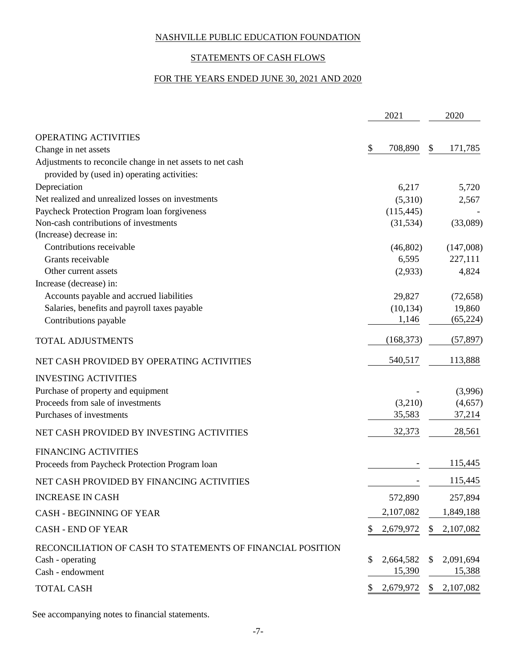# STATEMENTS OF CASH FLOWS

## FOR THE YEARS ENDED JUNE 30, 2021 AND 2020

|                                                                                                          | 2021            | 2020            |
|----------------------------------------------------------------------------------------------------------|-----------------|-----------------|
| OPERATING ACTIVITIES                                                                                     |                 |                 |
| Change in net assets                                                                                     | \$<br>708,890   | \$<br>171,785   |
| Adjustments to reconcile change in net assets to net cash<br>provided by (used in) operating activities: |                 |                 |
| Depreciation                                                                                             | 6,217           | 5,720           |
| Net realized and unrealized losses on investments                                                        | (5,310)         | 2,567           |
| Paycheck Protection Program loan forgiveness                                                             | (115, 445)      |                 |
| Non-cash contributions of investments                                                                    | (31, 534)       | (33,089)        |
| (Increase) decrease in:                                                                                  |                 |                 |
| Contributions receivable                                                                                 | (46,802)        | (147,008)       |
| Grants receivable                                                                                        | 6,595           | 227,111         |
| Other current assets                                                                                     | (2,933)         | 4,824           |
| Increase (decrease) in:                                                                                  |                 |                 |
| Accounts payable and accrued liabilities                                                                 | 29,827          | (72, 658)       |
| Salaries, benefits and payroll taxes payable                                                             | (10, 134)       | 19,860          |
| Contributions payable                                                                                    | 1,146           | (65, 224)       |
| <b>TOTAL ADJUSTMENTS</b>                                                                                 | (168, 373)      | (57, 897)       |
| NET CASH PROVIDED BY OPERATING ACTIVITIES                                                                | 540,517         | 113,888         |
| <b>INVESTING ACTIVITIES</b>                                                                              |                 |                 |
| Purchase of property and equipment                                                                       |                 | (3,996)         |
| Proceeds from sale of investments                                                                        | (3,210)         | (4,657)         |
| Purchases of investments                                                                                 | 35,583          | 37,214          |
| NET CASH PROVIDED BY INVESTING ACTIVITIES                                                                | 32,373          | 28,561          |
| <b>FINANCING ACTIVITIES</b>                                                                              |                 |                 |
| Proceeds from Paycheck Protection Program loan                                                           |                 | 115,445         |
| NET CASH PROVIDED BY FINANCING ACTIVITIES                                                                |                 | 115,445         |
| <b>INCREASE IN CASH</b>                                                                                  | 572,890         | 257,894         |
| <b>CASH - BEGINNING OF YEAR</b>                                                                          | 2,107,082       | 1,849,188       |
| <b>CASH - END OF YEAR</b>                                                                                | 2,679,972       | \$<br>2,107,082 |
| RECONCILIATION OF CASH TO STATEMENTS OF FINANCIAL POSITION                                               |                 |                 |
| Cash - operating                                                                                         | \$<br>2,664,582 | \$<br>2,091,694 |
| Cash - endowment                                                                                         | 15,390          | 15,388          |
| <b>TOTAL CASH</b>                                                                                        | 2,679,972       | \$2,107,082     |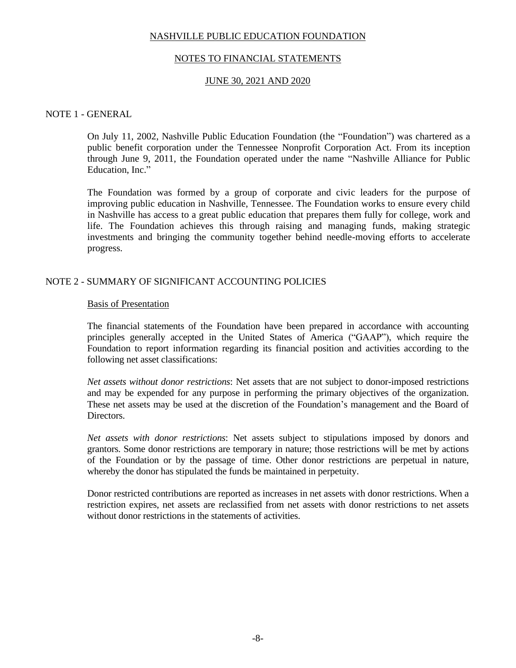### NOTES TO FINANCIAL STATEMENTS

### JUNE 30, 2021 AND 2020

### NOTE 1 - GENERAL

On July 11, 2002, Nashville Public Education Foundation (the "Foundation") was chartered as a public benefit corporation under the Tennessee Nonprofit Corporation Act. From its inception through June 9, 2011, the Foundation operated under the name "Nashville Alliance for Public Education, Inc."

The Foundation was formed by a group of corporate and civic leaders for the purpose of improving public education in Nashville, Tennessee. The Foundation works to ensure every child in Nashville has access to a great public education that prepares them fully for college, work and life. The Foundation achieves this through raising and managing funds, making strategic investments and bringing the community together behind needle-moving efforts to accelerate progress.

### NOTE 2 - SUMMARY OF SIGNIFICANT ACCOUNTING POLICIES

#### Basis of Presentation

The financial statements of the Foundation have been prepared in accordance with accounting principles generally accepted in the United States of America ("GAAP"), which require the Foundation to report information regarding its financial position and activities according to the following net asset classifications:

*Net assets without donor restrictions*: Net assets that are not subject to donor-imposed restrictions and may be expended for any purpose in performing the primary objectives of the organization. These net assets may be used at the discretion of the Foundation's management and the Board of Directors.

*Net assets with donor restrictions*: Net assets subject to stipulations imposed by donors and grantors. Some donor restrictions are temporary in nature; those restrictions will be met by actions of the Foundation or by the passage of time. Other donor restrictions are perpetual in nature, whereby the donor has stipulated the funds be maintained in perpetuity.

Donor restricted contributions are reported as increases in net assets with donor restrictions. When a restriction expires, net assets are reclassified from net assets with donor restrictions to net assets without donor restrictions in the statements of activities.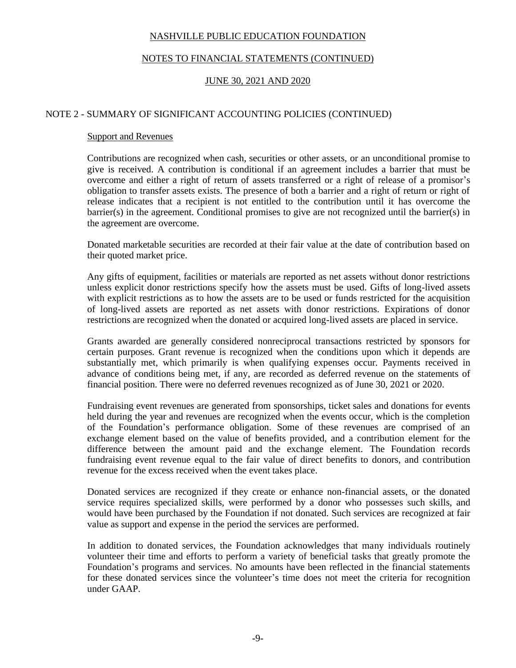## NOTES TO FINANCIAL STATEMENTS (CONTINUED)

## JUNE 30, 2021 AND 2020

### NOTE 2 - SUMMARY OF SIGNIFICANT ACCOUNTING POLICIES (CONTINUED)

### Support and Revenues

Contributions are recognized when cash, securities or other assets, or an unconditional promise to give is received. A contribution is conditional if an agreement includes a barrier that must be overcome and either a right of return of assets transferred or a right of release of a promisor's obligation to transfer assets exists. The presence of both a barrier and a right of return or right of release indicates that a recipient is not entitled to the contribution until it has overcome the barrier(s) in the agreement. Conditional promises to give are not recognized until the barrier(s) in the agreement are overcome.

Donated marketable securities are recorded at their fair value at the date of contribution based on their quoted market price.

Any gifts of equipment, facilities or materials are reported as net assets without donor restrictions unless explicit donor restrictions specify how the assets must be used. Gifts of long-lived assets with explicit restrictions as to how the assets are to be used or funds restricted for the acquisition of long-lived assets are reported as net assets with donor restrictions. Expirations of donor restrictions are recognized when the donated or acquired long-lived assets are placed in service.

Grants awarded are generally considered nonreciprocal transactions restricted by sponsors for certain purposes. Grant revenue is recognized when the conditions upon which it depends are substantially met, which primarily is when qualifying expenses occur. Payments received in advance of conditions being met, if any, are recorded as deferred revenue on the statements of financial position. There were no deferred revenues recognized as of June 30, 2021 or 2020.

Fundraising event revenues are generated from sponsorships, ticket sales and donations for events held during the year and revenues are recognized when the events occur, which is the completion of the Foundation's performance obligation. Some of these revenues are comprised of an exchange element based on the value of benefits provided, and a contribution element for the difference between the amount paid and the exchange element. The Foundation records fundraising event revenue equal to the fair value of direct benefits to donors, and contribution revenue for the excess received when the event takes place.

Donated services are recognized if they create or enhance non-financial assets, or the donated service requires specialized skills, were performed by a donor who possesses such skills, and would have been purchased by the Foundation if not donated. Such services are recognized at fair value as support and expense in the period the services are performed.

In addition to donated services, the Foundation acknowledges that many individuals routinely volunteer their time and efforts to perform a variety of beneficial tasks that greatly promote the Foundation's programs and services. No amounts have been reflected in the financial statements for these donated services since the volunteer's time does not meet the criteria for recognition under GAAP.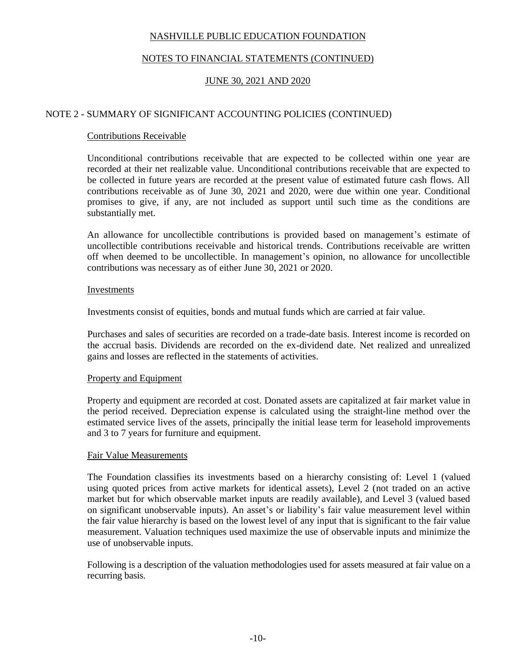## NOTES TO FINANCIAL STATEMENTS (CONTINUED)

## JUNE 30, 2021 AND 2020

### NOTE 2 - SUMMARY OF SIGNIFICANT ACCOUNTING POLICIES (CONTINUED)

### Contributions Receivable

Unconditional contributions receivable that are expected to be collected within one year are recorded at their net realizable value. Unconditional contributions receivable that are expected to be collected in future years are recorded at the present value of estimated future cash flows. All contributions receivable as of June 30, 2021 and 2020, were due within one year. Conditional promises to give, if any, are not included as support until such time as the conditions are substantially met.

An allowance for uncollectible contributions is provided based on management's estimate of uncollectible contributions receivable and historical trends. Contributions receivable are written off when deemed to be uncollectible. In management's opinion, no allowance for uncollectible contributions was necessary as of either June 30, 2021 or 2020.

#### Investments

Investments consist of equities, bonds and mutual funds which are carried at fair value.

Purchases and sales of securities are recorded on a trade-date basis. Interest income is recorded on the accrual basis. Dividends are recorded on the ex-dividend date. Net realized and unrealized gains and losses are reflected in the statements of activities.

### Property and Equipment

Property and equipment are recorded at cost. Donated assets are capitalized at fair market value in the period received. Depreciation expense is calculated using the straight-line method over the estimated service lives of the assets, principally the initial lease term for leasehold improvements and 3 to 7 years for furniture and equipment.

#### Fair Value Measurements

The Foundation classifies its investments based on a hierarchy consisting of: Level 1 (valued using quoted prices from active markets for identical assets), Level 2 (not traded on an active market but for which observable market inputs are readily available), and Level 3 (valued based on significant unobservable inputs). An asset's or liability's fair value measurement level within the fair value hierarchy is based on the lowest level of any input that is significant to the fair value measurement. Valuation techniques used maximize the use of observable inputs and minimize the use of unobservable inputs.

Following is a description of the valuation methodologies used for assets measured at fair value on a recurring basis.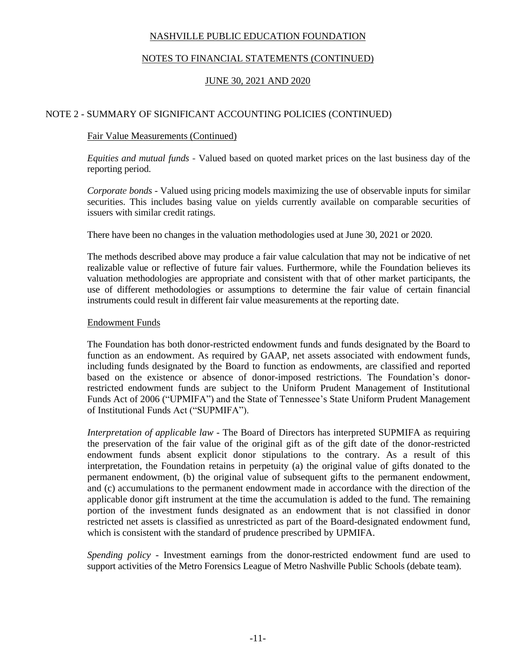## NOTES TO FINANCIAL STATEMENTS (CONTINUED)

## JUNE 30, 2021 AND 2020

### NOTE 2 - SUMMARY OF SIGNIFICANT ACCOUNTING POLICIES (CONTINUED)

### Fair Value Measurements (Continued)

*Equities and mutual funds* - Valued based on quoted market prices on the last business day of the reporting period.

*Corporate bonds* - Valued using pricing models maximizing the use of observable inputs for similar securities. This includes basing value on yields currently available on comparable securities of issuers with similar credit ratings.

There have been no changes in the valuation methodologies used at June 30, 2021 or 2020.

The methods described above may produce a fair value calculation that may not be indicative of net realizable value or reflective of future fair values. Furthermore, while the Foundation believes its valuation methodologies are appropriate and consistent with that of other market participants, the use of different methodologies or assumptions to determine the fair value of certain financial instruments could result in different fair value measurements at the reporting date.

### Endowment Funds

The Foundation has both donor-restricted endowment funds and funds designated by the Board to function as an endowment. As required by GAAP, net assets associated with endowment funds, including funds designated by the Board to function as endowments, are classified and reported based on the existence or absence of donor-imposed restrictions. The Foundation's donorrestricted endowment funds are subject to the Uniform Prudent Management of Institutional Funds Act of 2006 ("UPMIFA") and the State of Tennessee's State Uniform Prudent Management of Institutional Funds Act ("SUPMIFA").

*Interpretation of applicable law* - The Board of Directors has interpreted SUPMIFA as requiring the preservation of the fair value of the original gift as of the gift date of the donor-restricted endowment funds absent explicit donor stipulations to the contrary. As a result of this interpretation, the Foundation retains in perpetuity (a) the original value of gifts donated to the permanent endowment, (b) the original value of subsequent gifts to the permanent endowment, and (c) accumulations to the permanent endowment made in accordance with the direction of the applicable donor gift instrument at the time the accumulation is added to the fund. The remaining portion of the investment funds designated as an endowment that is not classified in donor restricted net assets is classified as unrestricted as part of the Board-designated endowment fund, which is consistent with the standard of prudence prescribed by UPMIFA.

*Spending policy -* Investment earnings from the donor-restricted endowment fund are used to support activities of the Metro Forensics League of Metro Nashville Public Schools (debate team).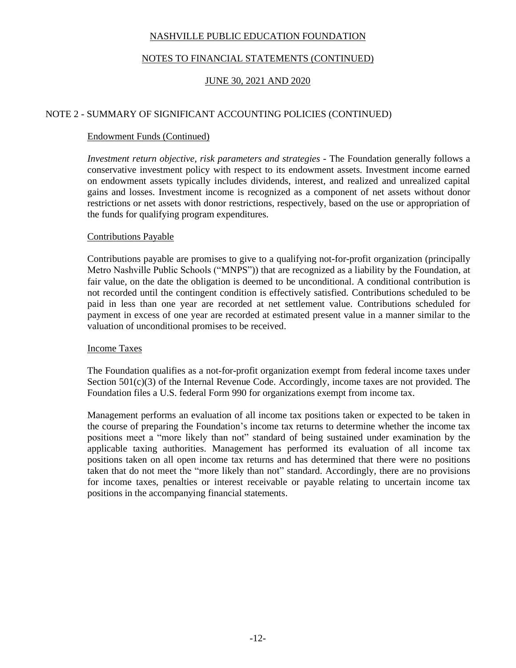## NOTES TO FINANCIAL STATEMENTS (CONTINUED)

## JUNE 30, 2021 AND 2020

### NOTE 2 - SUMMARY OF SIGNIFICANT ACCOUNTING POLICIES (CONTINUED)

### Endowment Funds (Continued)

*Investment return objective, risk parameters and strategies - The Foundation generally follows a* conservative investment policy with respect to its endowment assets. Investment income earned on endowment assets typically includes dividends, interest, and realized and unrealized capital gains and losses. Investment income is recognized as a component of net assets without donor restrictions or net assets with donor restrictions, respectively, based on the use or appropriation of the funds for qualifying program expenditures.

### Contributions Payable

Contributions payable are promises to give to a qualifying not-for-profit organization (principally Metro Nashville Public Schools ("MNPS")) that are recognized as a liability by the Foundation, at fair value, on the date the obligation is deemed to be unconditional. A conditional contribution is not recorded until the contingent condition is effectively satisfied. Contributions scheduled to be paid in less than one year are recorded at net settlement value. Contributions scheduled for payment in excess of one year are recorded at estimated present value in a manner similar to the valuation of unconditional promises to be received.

### Income Taxes

The Foundation qualifies as a not-for-profit organization exempt from federal income taxes under Section 501(c)(3) of the Internal Revenue Code. Accordingly, income taxes are not provided. The Foundation files a U.S. federal Form 990 for organizations exempt from income tax.

Management performs an evaluation of all income tax positions taken or expected to be taken in the course of preparing the Foundation's income tax returns to determine whether the income tax positions meet a "more likely than not" standard of being sustained under examination by the applicable taxing authorities. Management has performed its evaluation of all income tax positions taken on all open income tax returns and has determined that there were no positions taken that do not meet the "more likely than not" standard. Accordingly, there are no provisions for income taxes, penalties or interest receivable or payable relating to uncertain income tax positions in the accompanying financial statements.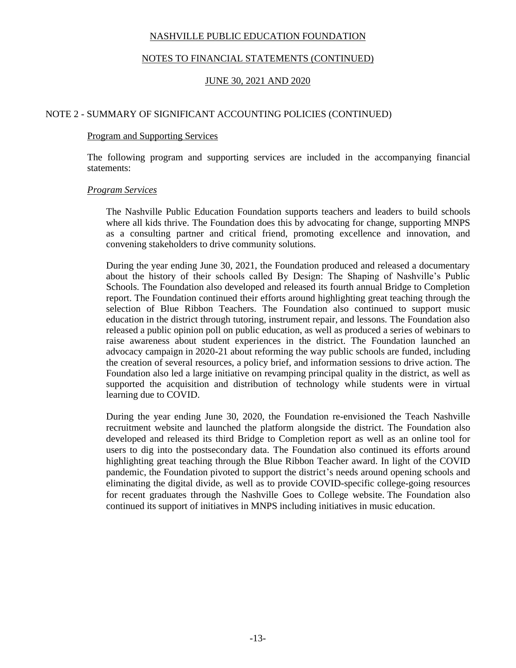### NOTES TO FINANCIAL STATEMENTS (CONTINUED)

## JUNE 30, 2021 AND 2020

### NOTE 2 - SUMMARY OF SIGNIFICANT ACCOUNTING POLICIES (CONTINUED)

#### Program and Supporting Services

The following program and supporting services are included in the accompanying financial statements:

#### *Program Services*

The Nashville Public Education Foundation supports teachers and leaders to build schools where all kids thrive. The Foundation does this by advocating for change, supporting MNPS as a consulting partner and critical friend, promoting excellence and innovation, and convening stakeholders to drive community solutions.

During the year ending June 30, 2021, the Foundation produced and released a documentary about the history of their schools called By Design: The Shaping of Nashville's Public Schools. The Foundation also developed and released its fourth annual Bridge to Completion report. The Foundation continued their efforts around highlighting great teaching through the selection of Blue Ribbon Teachers. The Foundation also continued to support music education in the district through tutoring, instrument repair, and lessons. The Foundation also released a public opinion poll on public education, as well as produced a series of webinars to raise awareness about student experiences in the district. The Foundation launched an advocacy campaign in 2020-21 about reforming the way public schools are funded, including the creation of several resources, a policy brief, and information sessions to drive action. The Foundation also led a large initiative on revamping principal quality in the district, as well as supported the acquisition and distribution of technology while students were in virtual learning due to COVID.

During the year ending June 30, 2020, the Foundation re-envisioned the Teach Nashville recruitment website and launched the platform alongside the district. The Foundation also developed and released its third Bridge to Completion report as well as an online tool for users to dig into the postsecondary data. The Foundation also continued its efforts around highlighting great teaching through the Blue Ribbon Teacher award. In light of the COVID pandemic, the Foundation pivoted to support the district's needs around opening schools and eliminating the digital divide, as well as to provide COVID-specific college-going resources for recent graduates through the Nashville Goes to College website. The Foundation also continued its support of initiatives in MNPS including initiatives in music education.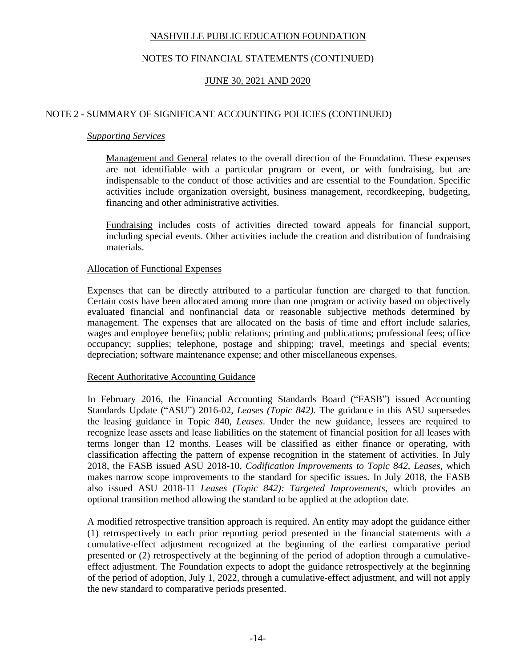## NOTES TO FINANCIAL STATEMENTS (CONTINUED)

## JUNE 30, 2021 AND 2020

### NOTE 2 - SUMMARY OF SIGNIFICANT ACCOUNTING POLICIES (CONTINUED)

### *Supporting Services*

Management and General relates to the overall direction of the Foundation. These expenses are not identifiable with a particular program or event, or with fundraising, but are indispensable to the conduct of those activities and are essential to the Foundation. Specific activities include organization oversight, business management, recordkeeping, budgeting, financing and other administrative activities.

Fundraising includes costs of activities directed toward appeals for financial support, including special events. Other activities include the creation and distribution of fundraising materials.

### Allocation of Functional Expenses

Expenses that can be directly attributed to a particular function are charged to that function. Certain costs have been allocated among more than one program or activity based on objectively evaluated financial and nonfinancial data or reasonable subjective methods determined by management. The expenses that are allocated on the basis of time and effort include salaries, wages and employee benefits; public relations; printing and publications; professional fees; office occupancy; supplies; telephone, postage and shipping; travel, meetings and special events; depreciation; software maintenance expense; and other miscellaneous expenses.

### Recent Authoritative Accounting Guidance

In February 2016, the Financial Accounting Standards Board ("FASB") issued Accounting Standards Update ("ASU") 2016-02, *Leases (Topic 842)*. The guidance in this ASU supersedes the leasing guidance in Topic 840, *Leases*. Under the new guidance, lessees are required to recognize lease assets and lease liabilities on the statement of financial position for all leases with terms longer than 12 months. Leases will be classified as either finance or operating, with classification affecting the pattern of expense recognition in the statement of activities. In July 2018, the FASB issued ASU 2018-10, *Codification Improvements to Topic 842, Leases*, which makes narrow scope improvements to the standard for specific issues. In July 2018, the FASB also issued ASU 2018-11 *Leases (Topic 842): Targeted Improvements*, which provides an optional transition method allowing the standard to be applied at the adoption date.

A modified retrospective transition approach is required. An entity may adopt the guidance either (1) retrospectively to each prior reporting period presented in the financial statements with a cumulative-effect adjustment recognized at the beginning of the earliest comparative period presented or (2) retrospectively at the beginning of the period of adoption through a cumulativeeffect adjustment. The Foundation expects to adopt the guidance retrospectively at the beginning of the period of adoption, July 1, 2022, through a cumulative-effect adjustment, and will not apply the new standard to comparative periods presented.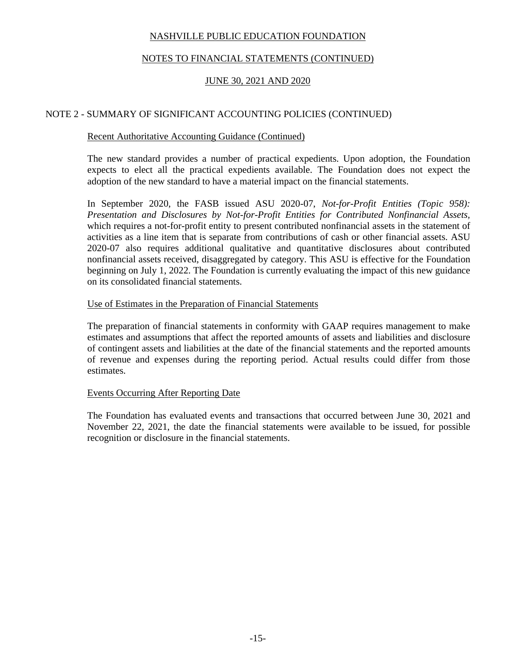## NOTES TO FINANCIAL STATEMENTS (CONTINUED)

## JUNE 30, 2021 AND 2020

### NOTE 2 - SUMMARY OF SIGNIFICANT ACCOUNTING POLICIES (CONTINUED)

### Recent Authoritative Accounting Guidance (Continued)

The new standard provides a number of practical expedients. Upon adoption, the Foundation expects to elect all the practical expedients available. The Foundation does not expect the adoption of the new standard to have a material impact on the financial statements.

In September 2020, the FASB issued ASU 2020-07, *Not-for-Profit Entities (Topic 958): Presentation and Disclosures by Not-for-Profit Entities for Contributed Nonfinancial Assets,* which requires a not-for-profit entity to present contributed nonfinancial assets in the statement of activities as a line item that is separate from contributions of cash or other financial assets. ASU 2020-07 also requires additional qualitative and quantitative disclosures about contributed nonfinancial assets received, disaggregated by category. This ASU is effective for the Foundation beginning on July 1, 2022. The Foundation is currently evaluating the impact of this new guidance on its consolidated financial statements.

### Use of Estimates in the Preparation of Financial Statements

The preparation of financial statements in conformity with GAAP requires management to make estimates and assumptions that affect the reported amounts of assets and liabilities and disclosure of contingent assets and liabilities at the date of the financial statements and the reported amounts of revenue and expenses during the reporting period. Actual results could differ from those estimates.

### Events Occurring After Reporting Date

The Foundation has evaluated events and transactions that occurred between June 30, 2021 and November 22, 2021, the date the financial statements were available to be issued, for possible recognition or disclosure in the financial statements.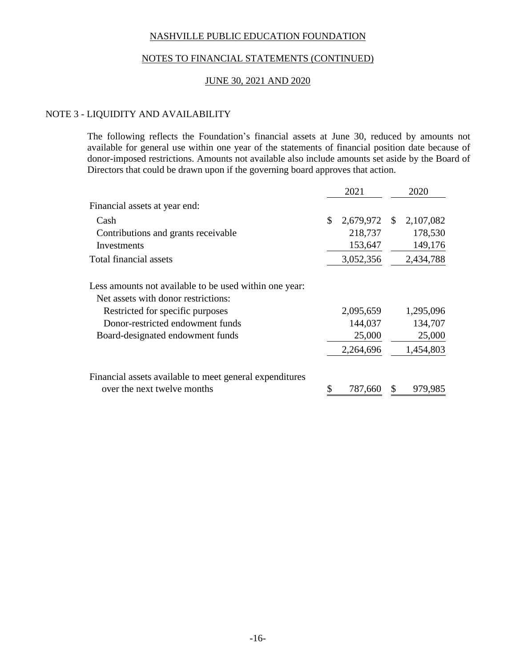### NOTES TO FINANCIAL STATEMENTS (CONTINUED)

### JUNE 30, 2021 AND 2020

### NOTE 3 - LIQUIDITY AND AVAILABILITY

The following reflects the Foundation's financial assets at June 30, reduced by amounts not available for general use within one year of the statements of financial position date because of donor-imposed restrictions. Amounts not available also include amounts set aside by the Board of Directors that could be drawn upon if the governing board approves that action.

|                                                         | 2021            | 2020            |
|---------------------------------------------------------|-----------------|-----------------|
| Financial assets at year end:                           |                 |                 |
| Cash                                                    | \$<br>2,679,972 | \$<br>2,107,082 |
| Contributions and grants receivable                     | 218,737         | 178,530         |
| Investments                                             | 153,647         | 149,176         |
| Total financial assets                                  | 3,052,356       | 2,434,788       |
| Less amounts not available to be used within one year:  |                 |                 |
| Net assets with donor restrictions:                     |                 |                 |
| Restricted for specific purposes                        | 2,095,659       | 1,295,096       |
| Donor-restricted endowment funds                        | 144,037         | 134,707         |
| Board-designated endowment funds                        | 25,000          | 25,000          |
|                                                         | 2,264,696       | 1,454,803       |
| Financial assets available to meet general expenditures |                 |                 |
| over the next twelve months                             | 787,660         | 979,985         |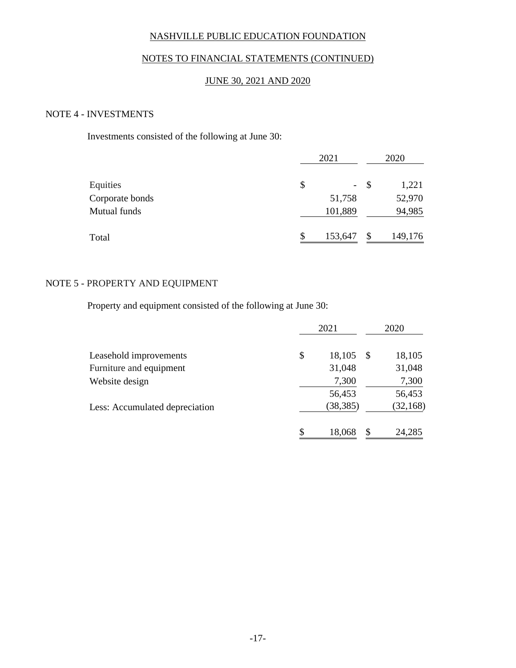## NOTES TO FINANCIAL STATEMENTS (CONTINUED)

## JUNE 30, 2021 AND 2020

### NOTE 4 - INVESTMENTS

Investments consisted of the following at June 30:

|                 | 2021         |              | 2020    |
|-----------------|--------------|--------------|---------|
| Equities        | \$<br>$\sim$ | <sup>S</sup> | 1,221   |
| Corporate bonds | 51,758       |              | 52,970  |
| Mutual funds    | 101,889      |              | 94,985  |
| Total           | 153,647      | \$           | 149,176 |

### NOTE 5 - PROPERTY AND EQUIPMENT

Property and equipment consisted of the following at June 30:

|                                |    | 2021      |    | 2020      |
|--------------------------------|----|-----------|----|-----------|
| Leasehold improvements         | \$ | 18,105    | -S | 18,105    |
| Furniture and equipment        |    | 31,048    |    | 31,048    |
| Website design                 |    | 7,300     |    | 7,300     |
|                                |    | 56,453    |    | 56,453    |
| Less: Accumulated depreciation |    | (38, 385) |    | (32, 168) |
|                                | S  | 18,068    | \$ | 24,285    |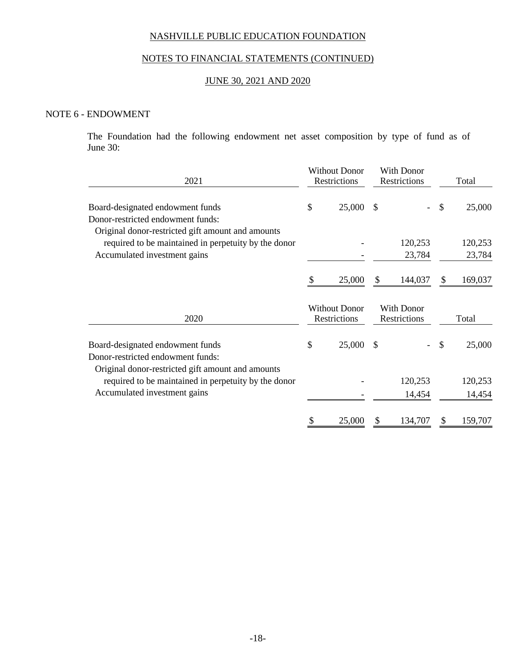# NOTES TO FINANCIAL STATEMENTS (CONTINUED)

## JUNE 30, 2021 AND 2020

#### NOTE 6 - ENDOWMENT

The Foundation had the following endowment net asset composition by type of fund as of June 30:

| 2021                                                                                                                       |    | <b>Without Donor</b><br>Restrictions |               | With Donor<br>Restrictions |    | Total   |  |
|----------------------------------------------------------------------------------------------------------------------------|----|--------------------------------------|---------------|----------------------------|----|---------|--|
| Board-designated endowment funds<br>Donor-restricted endowment funds:<br>Original donor-restricted gift amount and amounts | \$ | 25,000                               | -S            |                            | \$ | 25,000  |  |
| required to be maintained in perpetuity by the donor                                                                       |    |                                      |               | 120,253                    |    | 120,253 |  |
| Accumulated investment gains                                                                                               |    |                                      |               | 23,784                     |    | 23,784  |  |
|                                                                                                                            | \$ | 25,000                               | \$            | 144,037                    | \$ | 169,037 |  |
|                                                                                                                            |    | <b>Without Donor</b>                 |               | With Donor                 |    |         |  |
| 2020                                                                                                                       |    | Restrictions                         |               | Restrictions               |    | Total   |  |
| Board-designated endowment funds<br>Donor-restricted endowment funds:                                                      | \$ | 25,000                               | $\mathcal{S}$ |                            | \$ | 25,000  |  |
| Original donor-restricted gift amount and amounts<br>required to be maintained in perpetuity by the donor                  |    |                                      |               | 120,253                    |    | 120,253 |  |
| Accumulated investment gains                                                                                               |    |                                      |               | 14,454                     |    | 14,454  |  |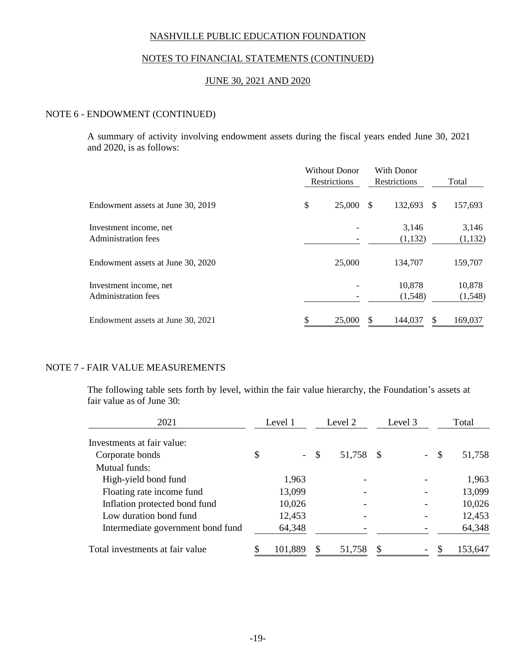### NOTES TO FINANCIAL STATEMENTS (CONTINUED)

### JUNE 30, 2021 AND 2020

#### NOTE 6 - ENDOWMENT (CONTINUED)

A summary of activity involving endowment assets during the fiscal years ended June 30, 2021 and 2020, is as follows:

|                                               | <b>Without Donor</b><br><b>Restrictions</b> |        |   | <b>With Donor</b><br><b>Restrictions</b> |              | Total              |
|-----------------------------------------------|---------------------------------------------|--------|---|------------------------------------------|--------------|--------------------|
| Endowment assets at June 30, 2019             | \$                                          | 25,000 | S | 132,693                                  | <sup>S</sup> | 157,693            |
| Investment income, net<br>Administration fees |                                             |        |   | 3,146<br>(1,132)                         |              | 3,146<br>(1, 132)  |
| Endowment assets at June 30, 2020             |                                             | 25,000 |   | 134,707                                  |              | 159,707            |
| Investment income, net<br>Administration fees |                                             |        |   | 10,878<br>(1,548)                        |              | 10,878<br>(1, 548) |
| Endowment assets at June 30, 2021             |                                             | 25,000 |   | 144,037                                  |              | 169,037            |

### NOTE 7 - FAIR VALUE MEASUREMENTS

The following table sets forth by level, within the fair value hierarchy, the Foundation's assets at fair value as of June 30:

| 2021                              |    | Level 2<br>Level 1<br>Level 3 |               |        |      |                          | Total  |         |
|-----------------------------------|----|-------------------------------|---------------|--------|------|--------------------------|--------|---------|
| Investments at fair value:        |    |                               |               |        |      |                          |        |         |
| Corporate bonds                   | \$ |                               | $\mathcal{S}$ | 51,758 | - \$ |                          | $-$ \$ | 51,758  |
| Mutual funds:                     |    |                               |               |        |      |                          |        |         |
| High-yield bond fund              |    | 1,963                         |               |        |      |                          |        | 1,963   |
| Floating rate income fund         |    | 13,099                        |               |        |      |                          |        | 13,099  |
| Inflation protected bond fund     |    | 10,026                        |               |        |      |                          |        | 10,026  |
| Low duration bond fund            |    | 12,453                        |               |        |      |                          |        | 12,453  |
| Intermediate government bond fund |    | 64,348                        |               |        |      |                          |        | 64,348  |
| Total investments at fair value   |    | 101,889                       |               | 51,758 | S    | $\overline{\phantom{a}}$ |        | 153,647 |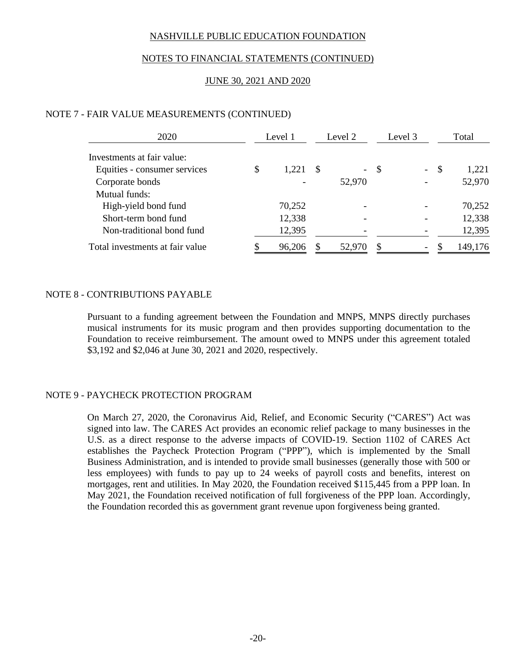## NOTES TO FINANCIAL STATEMENTS (CONTINUED)

## JUNE 30, 2021 AND 2020

### NOTE 7 - FAIR VALUE MEASUREMENTS (CONTINUED)

| 2020                            | Level 1     |    | Level 2         |    | Level 3          | Total       |
|---------------------------------|-------------|----|-----------------|----|------------------|-------------|
| Investments at fair value:      |             |    |                 |    |                  |             |
| Equities - consumer services    | \$<br>1,221 | -S | $\frac{1}{2}$ . | S  | $\omega_{\rm c}$ | \$<br>1,221 |
| Corporate bonds                 |             |    | 52,970          |    |                  | 52,970      |
| Mutual funds:                   |             |    |                 |    |                  |             |
| High-yield bond fund            | 70,252      |    |                 |    |                  | 70,252      |
| Short-term bond fund            | 12,338      |    |                 |    |                  | 12,338      |
| Non-traditional bond fund       | 12,395      |    |                 |    |                  | 12,395      |
| Total investments at fair value | 96,206      |    | 52,970          | \$ | -                | 149,176     |

### NOTE 8 - CONTRIBUTIONS PAYABLE

Pursuant to a funding agreement between the Foundation and MNPS, MNPS directly purchases musical instruments for its music program and then provides supporting documentation to the Foundation to receive reimbursement. The amount owed to MNPS under this agreement totaled \$3,192 and \$2,046 at June 30, 2021 and 2020, respectively.

### NOTE 9 - PAYCHECK PROTECTION PROGRAM

On March 27, 2020, the Coronavirus Aid, Relief, and Economic Security ("CARES") Act was signed into law. The CARES Act provides an economic relief package to many businesses in the U.S. as a direct response to the adverse impacts of COVID-19. Section 1102 of CARES Act establishes the Paycheck Protection Program ("PPP"), which is implemented by the Small Business Administration, and is intended to provide small businesses (generally those with 500 or less employees) with funds to pay up to 24 weeks of payroll costs and benefits, interest on mortgages, rent and utilities. In May 2020, the Foundation received \$115,445 from a PPP loan. In May 2021, the Foundation received notification of full forgiveness of the PPP loan. Accordingly, the Foundation recorded this as government grant revenue upon forgiveness being granted.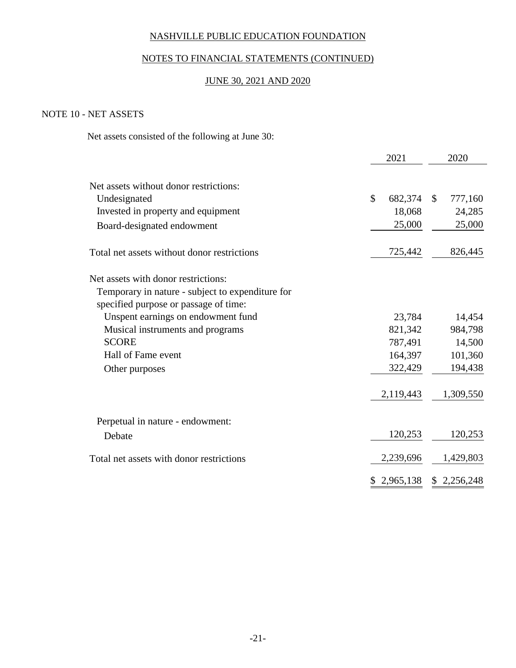## NOTES TO FINANCIAL STATEMENTS (CONTINUED)

## JUNE 30, 2021 AND 2020

## NOTE 10 - NET ASSETS

Net assets consisted of the following at June 30:

|                                                                                                                                  | 2021          |                   | 2020         |                   |
|----------------------------------------------------------------------------------------------------------------------------------|---------------|-------------------|--------------|-------------------|
| Net assets without donor restrictions:<br>Undesignated<br>Invested in property and equipment                                     | $\mathcal{S}$ | 682,374<br>18,068 | $\mathbb{S}$ | 777,160<br>24,285 |
| Board-designated endowment                                                                                                       |               | 25,000            |              | 25,000            |
| Total net assets without donor restrictions                                                                                      |               | 725,442           |              | 826,445           |
| Net assets with donor restrictions:<br>Temporary in nature - subject to expenditure for<br>specified purpose or passage of time: |               |                   |              |                   |
| Unspent earnings on endowment fund                                                                                               |               | 23,784            |              | 14,454            |
| Musical instruments and programs                                                                                                 |               | 821,342           |              | 984,798           |
| <b>SCORE</b>                                                                                                                     |               | 787,491           |              | 14,500            |
| Hall of Fame event                                                                                                               |               | 164,397           |              | 101,360           |
| Other purposes                                                                                                                   |               | 322,429           |              | 194,438           |
|                                                                                                                                  |               | 2,119,443         |              | 1,309,550         |
| Perpetual in nature - endowment:                                                                                                 |               |                   |              |                   |
| Debate                                                                                                                           |               | 120,253           |              | 120,253           |
| Total net assets with donor restrictions                                                                                         |               | 2,239,696         |              | 1,429,803         |
|                                                                                                                                  |               | \$2,965,138       |              | \$2,256,248       |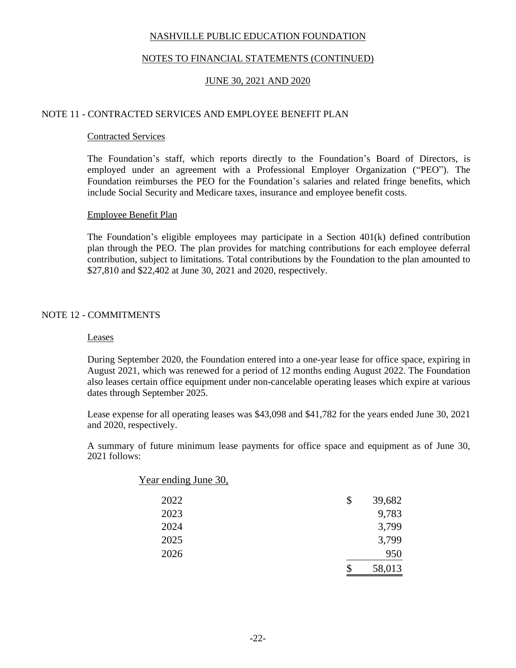## NOTES TO FINANCIAL STATEMENTS (CONTINUED)

## JUNE 30, 2021 AND 2020

### NOTE 11 - CONTRACTED SERVICES AND EMPLOYEE BENEFIT PLAN

### Contracted Services

The Foundation's staff, which reports directly to the Foundation's Board of Directors, is employed under an agreement with a Professional Employer Organization ("PEO"). The Foundation reimburses the PEO for the Foundation's salaries and related fringe benefits, which include Social Security and Medicare taxes, insurance and employee benefit costs.

### Employee Benefit Plan

The Foundation's eligible employees may participate in a Section 401(k) defined contribution plan through the PEO. The plan provides for matching contributions for each employee deferral contribution, subject to limitations. Total contributions by the Foundation to the plan amounted to \$27,810 and \$22,402 at June 30, 2021 and 2020, respectively.

### NOTE 12 - COMMITMENTS

#### Leases

During September 2020, the Foundation entered into a one-year lease for office space, expiring in August 2021, which was renewed for a period of 12 months ending August 2022. The Foundation also leases certain office equipment under non-cancelable operating leases which expire at various dates through September 2025.

Lease expense for all operating leases was \$43,098 and \$41,782 for the years ended June 30, 2021 and 2020, respectively.

A summary of future minimum lease payments for office space and equipment as of June 30, 2021 follows:

| Year ending June 30, |              |
|----------------------|--------------|
| 2022                 | \$<br>39,682 |
| 2023                 | 9,783        |
| 2024                 | 3,799        |
| 2025                 | 3,799        |
| 2026                 | 950          |
|                      | 58,013       |